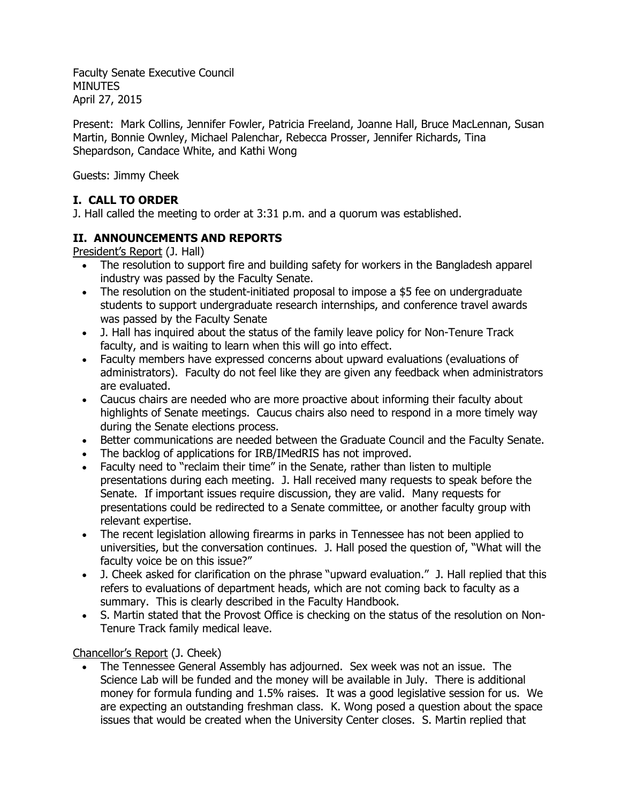Faculty Senate Executive Council **MINUTES** April 27, 2015

Present: Mark Collins, Jennifer Fowler, Patricia Freeland, Joanne Hall, Bruce MacLennan, Susan Martin, Bonnie Ownley, Michael Palenchar, Rebecca Prosser, Jennifer Richards, Tina Shepardson, Candace White, and Kathi Wong

Guests: Jimmy Cheek

# **I. CALL TO ORDER**

J. Hall called the meeting to order at 3:31 p.m. and a quorum was established.

# **II. ANNOUNCEMENTS AND REPORTS**

President's Report (J. Hall)

- The resolution to support fire and building safety for workers in the Bangladesh apparel industry was passed by the Faculty Senate.
- The resolution on the student-initiated proposal to impose a \$5 fee on undergraduate students to support undergraduate research internships, and conference travel awards was passed by the Faculty Senate
- J. Hall has inquired about the status of the family leave policy for Non-Tenure Track faculty, and is waiting to learn when this will go into effect.
- Faculty members have expressed concerns about upward evaluations (evaluations of administrators). Faculty do not feel like they are given any feedback when administrators are evaluated.
- Caucus chairs are needed who are more proactive about informing their faculty about highlights of Senate meetings. Caucus chairs also need to respond in a more timely way during the Senate elections process.
- Better communications are needed between the Graduate Council and the Faculty Senate.
- The backlog of applications for IRB/IMedRIS has not improved.
- Faculty need to "reclaim their time" in the Senate, rather than listen to multiple presentations during each meeting. J. Hall received many requests to speak before the Senate. If important issues require discussion, they are valid. Many requests for presentations could be redirected to a Senate committee, or another faculty group with relevant expertise.
- The recent legislation allowing firearms in parks in Tennessee has not been applied to universities, but the conversation continues. J. Hall posed the question of, "What will the faculty voice be on this issue?"
- J. Cheek asked for clarification on the phrase "upward evaluation." J. Hall replied that this refers to evaluations of department heads, which are not coming back to faculty as a summary. This is clearly described in the Faculty Handbook.
- S. Martin stated that the Provost Office is checking on the status of the resolution on Non-Tenure Track family medical leave.

### Chancellor's Report (J. Cheek)

 The Tennessee General Assembly has adjourned. Sex week was not an issue. The Science Lab will be funded and the money will be available in July. There is additional money for formula funding and 1.5% raises. It was a good legislative session for us. We are expecting an outstanding freshman class. K. Wong posed a question about the space issues that would be created when the University Center closes. S. Martin replied that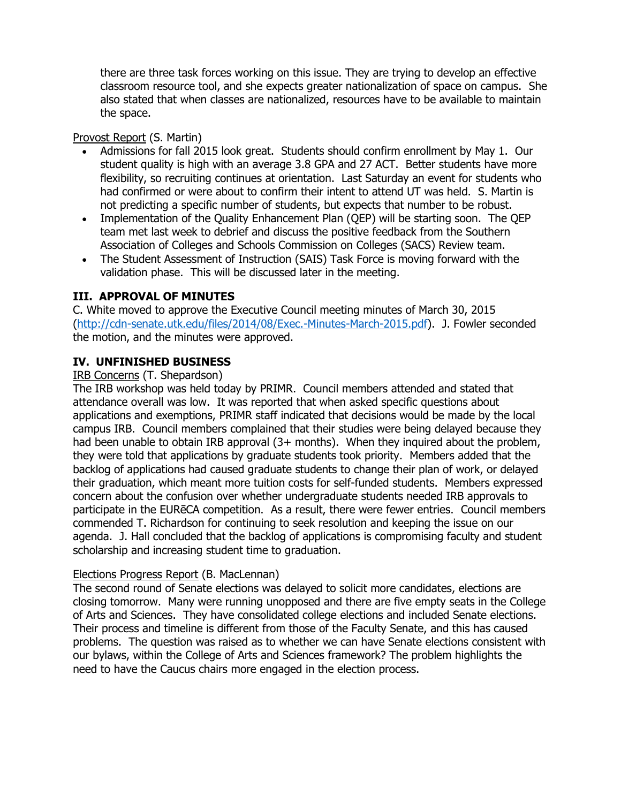there are three task forces working on this issue. They are trying to develop an effective classroom resource tool, and she expects greater nationalization of space on campus. She also stated that when classes are nationalized, resources have to be available to maintain the space.

### Provost Report (S. Martin)

- Admissions for fall 2015 look great. Students should confirm enrollment by May 1. Our student quality is high with an average 3.8 GPA and 27 ACT. Better students have more flexibility, so recruiting continues at orientation. Last Saturday an event for students who had confirmed or were about to confirm their intent to attend UT was held. S. Martin is not predicting a specific number of students, but expects that number to be robust.
- Implementation of the Quality Enhancement Plan (QEP) will be starting soon. The QEP team met last week to debrief and discuss the positive feedback from the Southern Association of Colleges and Schools Commission on Colleges (SACS) Review team.
- The Student Assessment of Instruction (SAIS) Task Force is moving forward with the validation phase. This will be discussed later in the meeting.

### **III. APPROVAL OF MINUTES**

C. White moved to approve the Executive Council meeting minutes of March 30, 2015 [\(http://cdn-senate.utk.edu/files/2014/08/Exec.-Minutes-March-2015.pdf\)](http://cdn-senate.utk.edu/files/2014/08/Exec.-Minutes-March-2015.pdf). J. Fowler seconded the motion, and the minutes were approved.

# **IV. UNFINISHED BUSINESS**

#### IRB Concerns (T. Shepardson)

The IRB workshop was held today by PRIMR. Council members attended and stated that attendance overall was low. It was reported that when asked specific questions about applications and exemptions, PRIMR staff indicated that decisions would be made by the local campus IRB. Council members complained that their studies were being delayed because they had been unable to obtain IRB approval (3+ months). When they inquired about the problem, they were told that applications by graduate students took priority. Members added that the backlog of applications had caused graduate students to change their plan of work, or delayed their graduation, which meant more tuition costs for self-funded students. Members expressed concern about the confusion over whether undergraduate students needed IRB approvals to participate in the EURēCA competition. As a result, there were fewer entries. Council members commended T. Richardson for continuing to seek resolution and keeping the issue on our agenda. J. Hall concluded that the backlog of applications is compromising faculty and student scholarship and increasing student time to graduation.

#### Elections Progress Report (B. MacLennan)

The second round of Senate elections was delayed to solicit more candidates, elections are closing tomorrow. Many were running unopposed and there are five empty seats in the College of Arts and Sciences. They have consolidated college elections and included Senate elections. Their process and timeline is different from those of the Faculty Senate, and this has caused problems. The question was raised as to whether we can have Senate elections consistent with our bylaws, within the College of Arts and Sciences framework? The problem highlights the need to have the Caucus chairs more engaged in the election process.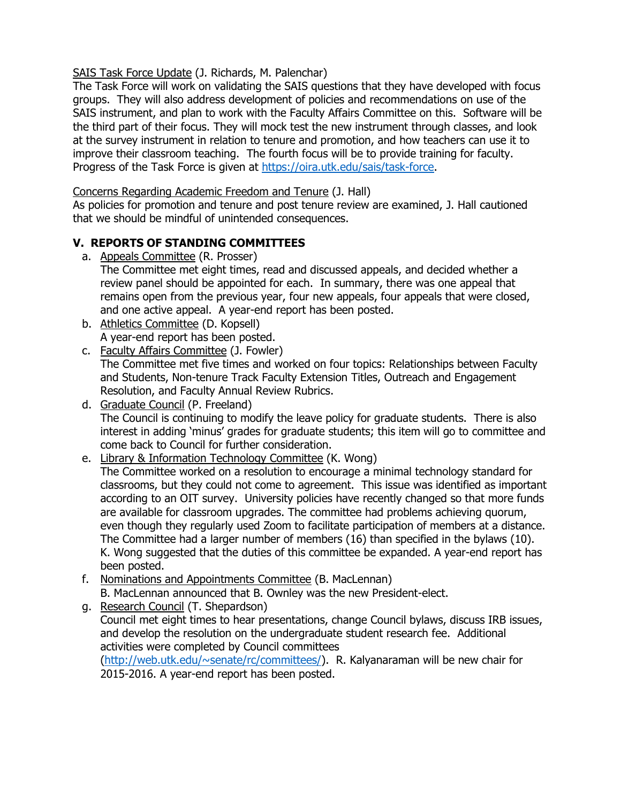## SAIS Task Force Update (J. Richards, M. Palenchar)

The Task Force will work on validating the SAIS questions that they have developed with focus groups. They will also address development of policies and recommendations on use of the SAIS instrument, and plan to work with the Faculty Affairs Committee on this. Software will be the third part of their focus. They will mock test the new instrument through classes, and look at the survey instrument in relation to tenure and promotion, and how teachers can use it to improve their classroom teaching. The fourth focus will be to provide training for faculty. Progress of the Task Force is given at [https://oira.utk.edu/sais/task-force.](https://oira.utk.edu/sais/task-force)

### Concerns Regarding Academic Freedom and Tenure (J. Hall)

As policies for promotion and tenure and post tenure review are examined, J. Hall cautioned that we should be mindful of unintended consequences.

# **V. REPORTS OF STANDING COMMITTEES**

a. Appeals Committee (R. Prosser)

The Committee met eight times, read and discussed appeals, and decided whether a review panel should be appointed for each. In summary, there was one appeal that remains open from the previous year, four new appeals, four appeals that were closed, and one active appeal. A year-end report has been posted.

- b. Athletics Committee (D. Kopsell) A year-end report has been posted.
- c. Faculty Affairs Committee (J. Fowler) The Committee met five times and worked on four topics: Relationships between Faculty

and Students, Non-tenure Track Faculty Extension Titles, Outreach and Engagement Resolution, and Faculty Annual Review Rubrics.

d. Graduate Council (P. Freeland) The Council is continuing to modify the leave policy for graduate students. There is also interest in adding 'minus' grades for graduate students; this item will go to committee and come back to Council for further consideration.

e. Library & Information Technology Committee (K. Wong)

The Committee worked on a resolution to encourage a minimal technology standard for classrooms, but they could not come to agreement. This issue was identified as important according to an OIT survey. University policies have recently changed so that more funds are available for classroom upgrades. The committee had problems achieving quorum, even though they regularly used Zoom to facilitate participation of members at a distance. The Committee had a larger number of members (16) than specified in the bylaws (10). K. Wong suggested that the duties of this committee be expanded. A year-end report has been posted.

- f. Nominations and Appointments Committee (B. MacLennan) B. MacLennan announced that B. Ownley was the new President-elect.
- g. Research Council (T. Shepardson) Council met eight times to hear presentations, change Council bylaws, discuss IRB issues, and develop the resolution on the undergraduate student research fee. Additional activities were completed by Council committees [\(http://web.utk.edu/~senate/rc/committees/\)](http://web.utk.edu/~senate/rc/committees/). R. Kalyanaraman will be new chair for 2015-2016. A year-end report has been posted.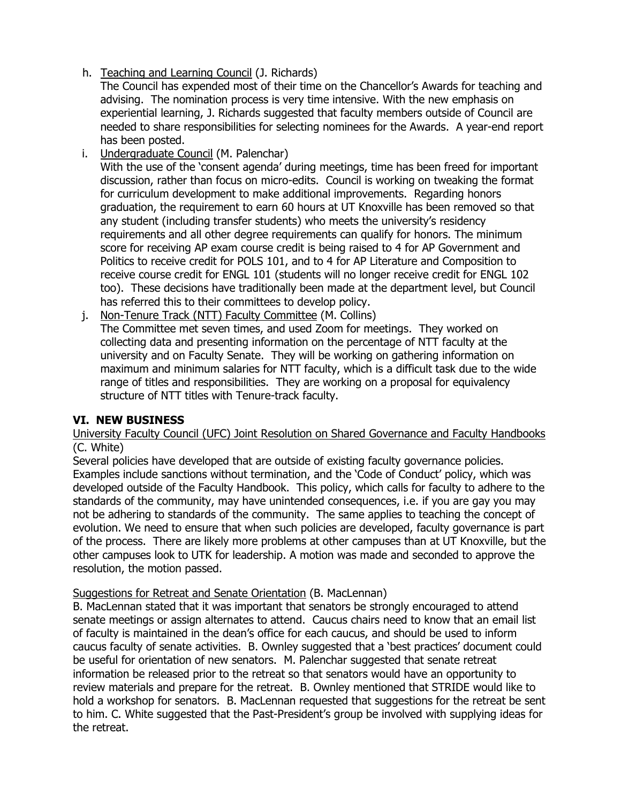h. Teaching and Learning Council (J. Richards)

The Council has expended most of their time on the Chancellor's Awards for teaching and advising. The nomination process is very time intensive. With the new emphasis on experiential learning, J. Richards suggested that faculty members outside of Council are needed to share responsibilities for selecting nominees for the Awards. A year-end report has been posted.

i. Undergraduate Council (M. Palenchar)

With the use of the 'consent agenda' during meetings, time has been freed for important discussion, rather than focus on micro-edits. Council is working on tweaking the format for curriculum development to make additional improvements. Regarding honors graduation, the requirement to earn 60 hours at UT Knoxville has been removed so that any student (including transfer students) who meets the university's residency requirements and all other degree requirements can qualify for honors. The minimum score for receiving AP exam course credit is being raised to 4 for AP Government and Politics to receive credit for POLS 101, and to 4 for AP Literature and Composition to receive course credit for ENGL 101 (students will no longer receive credit for ENGL 102 too). These decisions have traditionally been made at the department level, but Council has referred this to their committees to develop policy.

j. Non-Tenure Track (NTT) Faculty Committee (M. Collins) The Committee met seven times, and used Zoom for meetings. They worked on collecting data and presenting information on the percentage of NTT faculty at the university and on Faculty Senate. They will be working on gathering information on maximum and minimum salaries for NTT faculty, which is a difficult task due to the wide range of titles and responsibilities. They are working on a proposal for equivalency structure of NTT titles with Tenure-track faculty.

### **VI. NEW BUSINESS**

University Faculty Council (UFC) Joint Resolution on Shared Governance and Faculty Handbooks (C. White)

Several policies have developed that are outside of existing faculty governance policies. Examples include sanctions without termination, and the 'Code of Conduct' policy, which was developed outside of the Faculty Handbook. This policy, which calls for faculty to adhere to the standards of the community, may have unintended consequences, i.e. if you are gay you may not be adhering to standards of the community. The same applies to teaching the concept of evolution. We need to ensure that when such policies are developed, faculty governance is part of the process. There are likely more problems at other campuses than at UT Knoxville, but the other campuses look to UTK for leadership. A motion was made and seconded to approve the resolution, the motion passed.

#### Suggestions for Retreat and Senate Orientation (B. MacLennan)

B. MacLennan stated that it was important that senators be strongly encouraged to attend senate meetings or assign alternates to attend. Caucus chairs need to know that an email list of faculty is maintained in the dean's office for each caucus, and should be used to inform caucus faculty of senate activities. B. Ownley suggested that a 'best practices' document could be useful for orientation of new senators. M. Palenchar suggested that senate retreat information be released prior to the retreat so that senators would have an opportunity to review materials and prepare for the retreat. B. Ownley mentioned that STRIDE would like to hold a workshop for senators. B. MacLennan requested that suggestions for the retreat be sent to him. C. White suggested that the Past-President's group be involved with supplying ideas for the retreat.